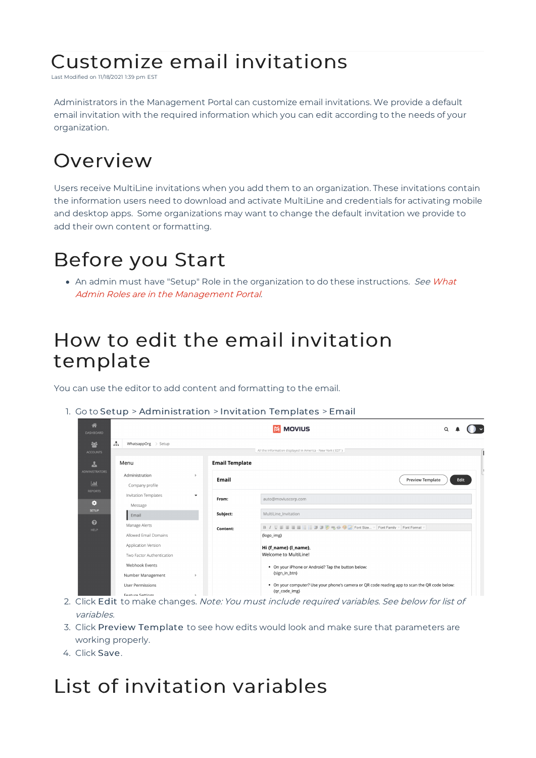# Customize email invitations

Last Modified on 11/18/2021 1:39 pm EST

Administrators in the Management Portal can customize email invitations. We provide a default email invitation with the required information which you can edit according to the needs of your organization.

### Overview

Users receive MultiLine invitations when you add them to an organization. These invitations contain the information users need to download and activate MultiLine and credentials for activating mobile and desktop apps. Some organizations may want to change the default invitation we provide to add their own content or formatting.

#### Before you Start

• An admin must have "Setup" Role in the organization to do these instructions. See What Admin Roles are in the Management Portal.

#### How to edit the email invitation template

You can use the editor to add content and formatting to the email.

1. Go to Setup > Administration > Invitation Templates > Email



- 2. Click Edit to make changes. Note: You must include required variables. See below for list of variables.
- 3. Click Preview Template to see how edits would look and make sure that parameters are working properly.
- 4. Click Save.

# List of invitation variables